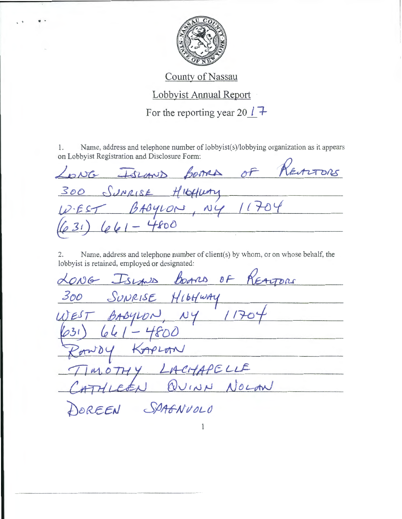

County of Nassau

Lobbyist Annual Report

For the reporting year 20  $\ell$  +

Name, address and telephone number of lobbyist(s)/lobbying organization as it appears 1. on Lobbyist Registration and Disclosure Form:

ENTORS LONG ISLAND BOARD OF 300 SUNRISE HIGHWAY<br>WEST BABYLON, NY 11704  $-4800$ 66

Name, address and telephone number of client(s) by whom, or on whose behalf, the  $2.$ lobbyist is retained, employed or designated:

LONG Islands borns of REALTORS SUNRISE HILLWAY 300 BABYLON, NY 11700 frod  $64$ KAPLAN MOTHY LACHAPELLE HLEEN QUINN NOLAN OREEN SPAGNUOLO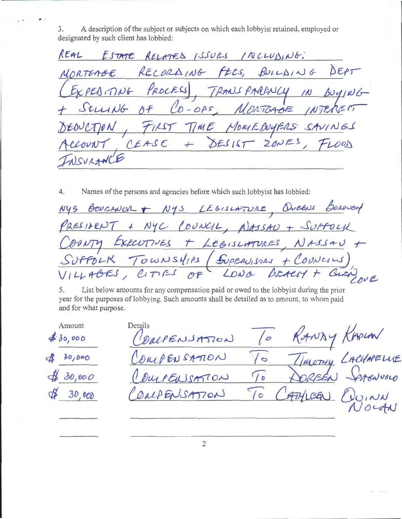A description of the subject or subjects on which each lobbyist retained, employed or 3. designated by such client has lobbied:

REAL ESTATE RELATED ISSUES INCLUDING:  $Bulb1N6$ DEPT RECORDING FEES, NORTEAGE EDITING PROCESS RANS PARFNCY  $\overline{M}$  $df$  $CO$ -OPS. MONTGABE IN  $JtUUUG$  $TME$ MOMEDOYFRS  $7/25$ CEASE  $20NE$  $DESIST$ 

4. Names of the persons and agencies before which such lobbyist has lobbied:

| NYS BOURANOR + NYS LEGISLATURE, OVERNE BOROUGH                                        |
|---------------------------------------------------------------------------------------|
| PRESIDENT + NYC COUNCIL, NASSAU + SUFFOLK                                             |
| COONTY EXECUTIVES + LEGISLATURES, NASSAU +                                            |
|                                                                                       |
| SUPPOLK TOWNSHIPS (SUPERVISORS + COUNCIUS)<br>VILLABES, CITIES OF LONG BEACHT GURNOVE |

List below amounts for any compensation paid or owed to the lobbyist during the prior 5. year for the purposes of lobbying. Such amounts shall be detailed as to amount, to whom paid and for what purpose.

| Amount<br>430,000 | Details<br>COMPENSATION |          | RANDY KAPLAN       |  |
|-------------------|-------------------------|----------|--------------------|--|
| 480,800           | COMPENSATION            | 10       |                    |  |
| \$30,000          | CourENSATION            | $\gamma$ | TIMOTHY LACUAPELUE |  |
| 48,000            | COMPENSATION            |          | To CATHLEEN CUINN  |  |
|                   |                         |          |                    |  |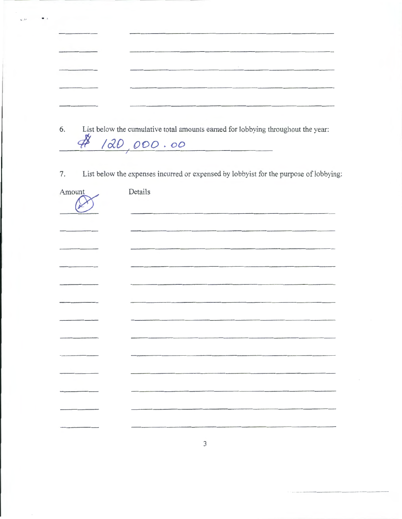| 6. | List below the cumulative total amounts earned for lobbying throughout the year:<br>48/20,000.00 |
|----|--------------------------------------------------------------------------------------------------|

List below the expenses incurred or expensed by lobbyist for the purpose of lobbying:  $7.$ 

| Amount | Details |
|--------|---------|
|        |         |
|        |         |
|        |         |
|        |         |
|        |         |
|        |         |
| ____   |         |
|        |         |
|        |         |
|        |         |
|        |         |
|        |         |